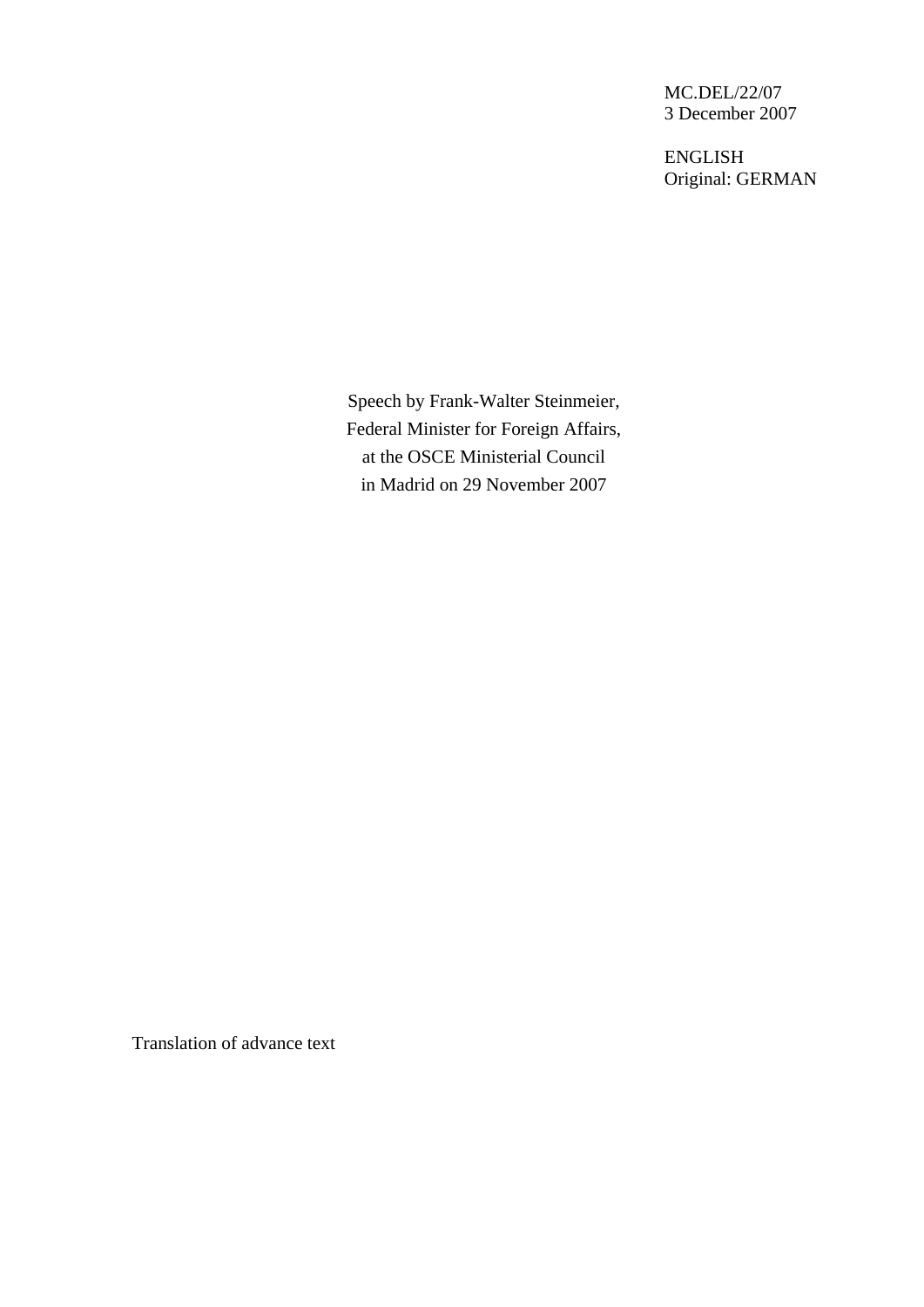MC.DEL/22/07 3 December 2007

ENGLISH Original: GERMAN

Speech by Frank-Walter Steinmeier, Federal Minister for Foreign Affairs, at the OSCE Ministerial Council in Madrid on 29 November 2007

Translation of advance text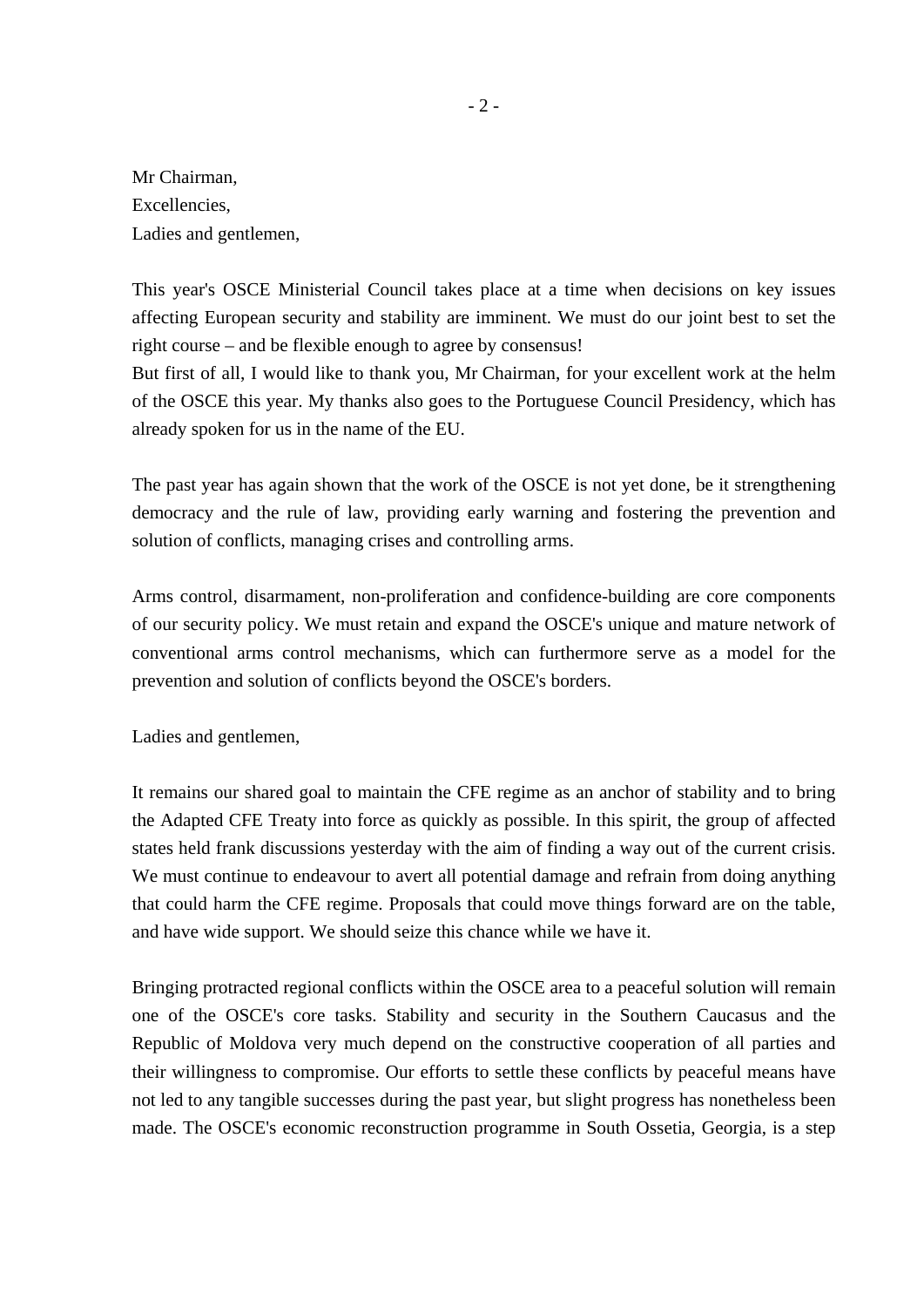Mr Chairman, Excellencies, Ladies and gentlemen,

This year's OSCE Ministerial Council takes place at a time when decisions on key issues affecting European security and stability are imminent. We must do our joint best to set the right course – and be flexible enough to agree by consensus!

But first of all, I would like to thank you, Mr Chairman, for your excellent work at the helm of the OSCE this year. My thanks also goes to the Portuguese Council Presidency, which has already spoken for us in the name of the EU.

The past year has again shown that the work of the OSCE is not yet done, be it strengthening democracy and the rule of law, providing early warning and fostering the prevention and solution of conflicts, managing crises and controlling arms.

Arms control, disarmament, non-proliferation and confidence-building are core components of our security policy. We must retain and expand the OSCE's unique and mature network of conventional arms control mechanisms, which can furthermore serve as a model for the prevention and solution of conflicts beyond the OSCE's borders.

Ladies and gentlemen,

It remains our shared goal to maintain the CFE regime as an anchor of stability and to bring the Adapted CFE Treaty into force as quickly as possible. In this spirit, the group of affected states held frank discussions yesterday with the aim of finding a way out of the current crisis. We must continue to endeavour to avert all potential damage and refrain from doing anything that could harm the CFE regime. Proposals that could move things forward are on the table, and have wide support. We should seize this chance while we have it.

Bringing protracted regional conflicts within the OSCE area to a peaceful solution will remain one of the OSCE's core tasks. Stability and security in the Southern Caucasus and the Republic of Moldova very much depend on the constructive cooperation of all parties and their willingness to compromise. Our efforts to settle these conflicts by peaceful means have not led to any tangible successes during the past year, but slight progress has nonetheless been made. The OSCE's economic reconstruction programme in South Ossetia, Georgia, is a step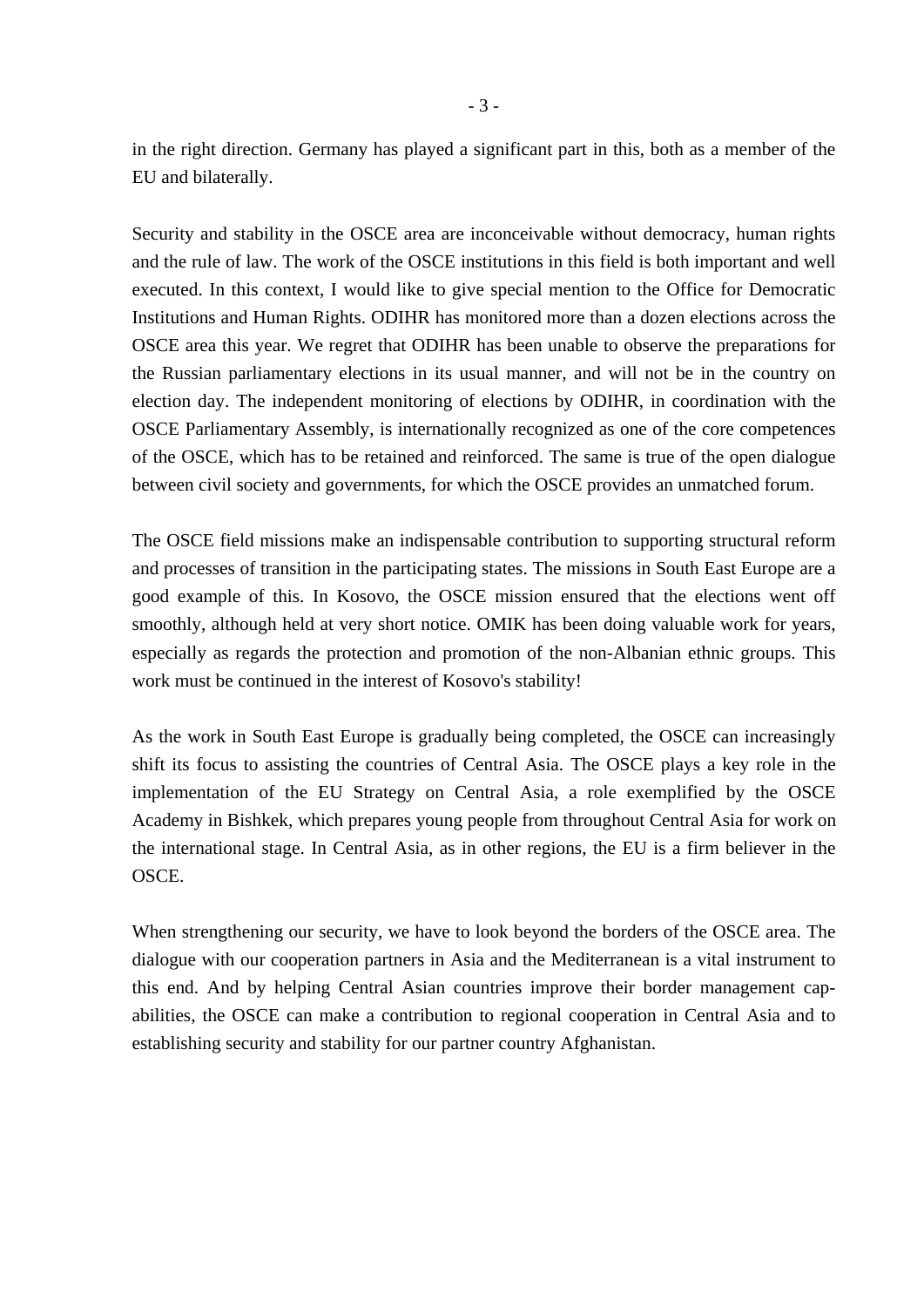in the right direction. Germany has played a significant part in this, both as a member of the EU and bilaterally.

Security and stability in the OSCE area are inconceivable without democracy, human rights and the rule of law. The work of the OSCE institutions in this field is both important and well executed. In this context, I would like to give special mention to the Office for Democratic Institutions and Human Rights. ODIHR has monitored more than a dozen elections across the OSCE area this year. We regret that ODIHR has been unable to observe the preparations for the Russian parliamentary elections in its usual manner, and will not be in the country on election day. The independent monitoring of elections by ODIHR, in coordination with the OSCE Parliamentary Assembly, is internationally recognized as one of the core competences of the OSCE, which has to be retained and reinforced. The same is true of the open dialogue between civil society and governments, for which the OSCE provides an unmatched forum.

The OSCE field missions make an indispensable contribution to supporting structural reform and processes of transition in the participating states. The missions in South East Europe are a good example of this. In Kosovo, the OSCE mission ensured that the elections went off smoothly, although held at very short notice. OMIK has been doing valuable work for years, especially as regards the protection and promotion of the non-Albanian ethnic groups. This work must be continued in the interest of Kosovo's stability!

As the work in South East Europe is gradually being completed, the OSCE can increasingly shift its focus to assisting the countries of Central Asia. The OSCE plays a key role in the implementation of the EU Strategy on Central Asia, a role exemplified by the OSCE Academy in Bishkek, which prepares young people from throughout Central Asia for work on the international stage. In Central Asia, as in other regions, the EU is a firm believer in the OSCE.

When strengthening our security, we have to look beyond the borders of the OSCE area. The dialogue with our cooperation partners in Asia and the Mediterranean is a vital instrument to this end. And by helping Central Asian countries improve their border management capabilities, the OSCE can make a contribution to regional cooperation in Central Asia and to establishing security and stability for our partner country Afghanistan.